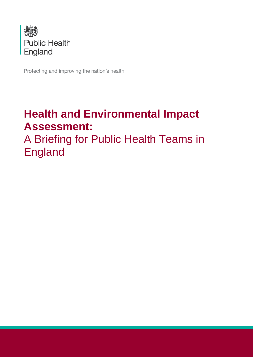

Protecting and improving the nation's health

# **Health and Environmental Impact Assessment:**

A Briefing for Public Health Teams in England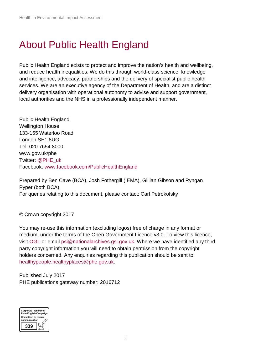## About Public Health England

Public Health England exists to protect and improve the nation's health and wellbeing, and reduce health inequalities. We do this through world-class science, knowledge and intelligence, advocacy, partnerships and the delivery of specialist public health services. We are an executive agency of the Department of Health, and are a distinct delivery organisation with operational autonomy to advise and support government, local authorities and the NHS in a professionally independent manner.

Public Health England Wellington House 133-155 Waterloo Road London SE1 8UG Tel: 020 7654 8000 [www.gov.uk/phe](http://www.gov.uk/phe) Twitter: [@PHE\\_uk](https://twitter.com/PHE_uk) Facebook: [www.facebook.com/PublicHealthEngland](http://www.facebook.com/PublicHealthEngland)

Prepared by Ben Cave (BCA), Josh Fothergill (IEMA), Gillian Gibson and Ryngan Pyper (both BCA). For queries relating to this document, please contact: Carl Petrokofsky

© Crown copyright 2017

You may re-use this information (excluding logos) free of charge in any format or medium, under the terms of the Open Government Licence v3.0. To view this licence, visit [OGL](https://www.nationalarchives.gov.uk/doc/open-government-licence/version/2/) or email [psi@nationalarchives.gsi.gov.uk.](mailto:psi@nationalarchives.gsi.gov.uk) Where we have identified any third party copyright information you will need to obtain permission from the copyright holders concerned. Any enquiries regarding this publication should be sent to [healthypeople.healthyplaces@phe.gov.uk.](mailto:healthypeople.healthyplaces@phe.gov.uk)

Published July 2017 PHE publications gateway number: 2016712

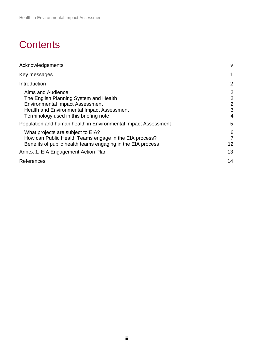## **Contents**

| Acknowledgements                                                                                                                                                                                                             | iv                                                           |
|------------------------------------------------------------------------------------------------------------------------------------------------------------------------------------------------------------------------------|--------------------------------------------------------------|
| Key messages                                                                                                                                                                                                                 | 1                                                            |
| Introduction                                                                                                                                                                                                                 | 2                                                            |
| Aims and Audience<br>The English Planning System and Health<br><b>Environmental Impact Assessment</b><br><b>Health and Environmental Impact Assessment</b><br>Terminology used in this briefing note                         | $\overline{2}$<br>$\overline{2}$<br>$\overline{2}$<br>3<br>4 |
| Population and human health in Environmental Impact Assessment<br>What projects are subject to EIA?<br>How can Public Health Teams engage in the EIA process?<br>Benefits of public health teams engaging in the EIA process | 5<br>6<br>7<br>12                                            |
| Annex 1: EIA Engagement Action Plan                                                                                                                                                                                          | 13                                                           |
| References                                                                                                                                                                                                                   | 14                                                           |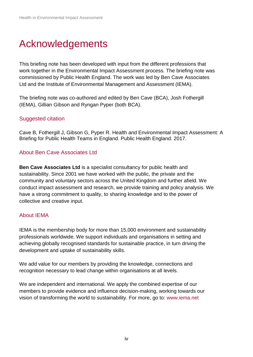## <span id="page-3-0"></span>Acknowledgements

This briefing note has been developed with input from the different professions that work together in the Environmental Impact Assessment process. The briefing note was commissioned by Public Health England. The work was led by Ben Cave Associates Ltd and the Institute of Environmental Management and Assessment (IEMA).

The briefing note was co-authored and edited by Ben Cave (BCA), Josh Fothergill (IEMA), Gillian Gibson and Ryngan Pyper (both BCA).

#### Suggested citation

Cave B, Fothergill J, Gibson G, Pyper R. Health and Environmental Impact Assessment: A Briefing for Public Health Teams in England. Public Health England. 2017.

### About Ben Cave Associates Ltd

**Ben Cave Associates Ltd** is a specialist consultancy for public health and sustainability. Since 2001 we have worked with the public, the private and the community and voluntary sectors across the United Kingdom and further afield. We conduct impact assessment and research, we provide training and policy analysis. We have a strong commitment to quality, to sharing knowledge and to the power of collective and creative input.

### About IEMA

IEMA is the membership body for more than 15,000 environment and sustainability professionals worldwide. We support individuals and organisations in setting and achieving globally recognised standards for sustainable practice, in turn driving the development and uptake of sustainability skills.

We add value for our members by providing the knowledge, connections and recognition necessary to lead change within organisations at all levels.

We are independent and international. We apply the combined expertise of our members to provide evidence and influence decision-making, working towards our vision of transforming the world to sustainability. For more, go to: [www.iema.net](http://www.iema.net/)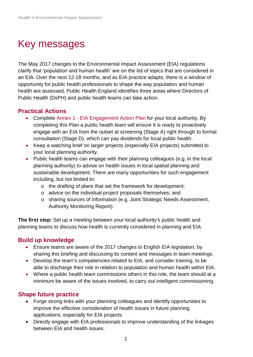# <span id="page-4-0"></span>Key messages

The May 2017 changes to the Environmental Impact Assessment (EIA) regulations clarify that 'population and human health' are on the list of topics that are considered in an EIA. Over the next 12-18 months, and as EIA practice adapts, there is a window of opportunity for public health professionals to shape the way population and human health are assessed. Public Health England identifies three areas where Directors of Public Health (DsPH) and public health teams can take action.

### **Practical Actions**

- Complete Annex 1 [EIA Engagement Action Plan](#page-16-1) for your local authority. By completing this Plan a public health team will ensure it is ready to proactively engage with an EIA from the outset at screening [\(Stage A\)](#page-11-0) right through to formal consultation (Stage D), which can pay dividends for local public health.
- Keep a watching brief on larger projects (especially EIA projects) submitted to your local planning authority.
- Public health teams can engage with their planning colleagues (e.g. in the local planning authority) to advise on health issues in local spatial planning and sustainable development. There are many opportunities for such engagement including, but not limited to:
	- o the drafting of plans that set the framework for development;
	- o advice on the individual project proposals themselves; and
	- o sharing sources of information (e.g. Joint Strategic Needs Assessment, Authority Monitoring Report).

**The first step:** Set up a meeting between your local authority's public health and planning teams to discuss how health is currently considered in planning and EIA.

### **Build up knowledge**

- Ensure teams are aware of the 2017 changes to English EIA legislation, by sharing this briefing and discussing its content and messages in team meetings.
- Develop the team's competencies related to EIA, and consider training, to be able to discharge their role in relation to population and human health within EIA.
- Where a public health team commissions others in this role, the team should at a minimum be aware of the issues involved, to carry out intelligent commissioning.

### **Shape future practice**

- Forge strong links with your planning colleagues and identify opportunities to improve the effective consideration of health issues in future planning applications, especially for EIA projects.
- Directly engage with EIA professionals to improve understanding of the linkages between EIA and health issues.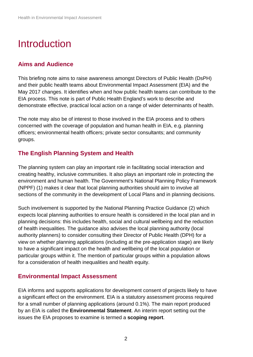## <span id="page-5-0"></span>**Introduction**

### <span id="page-5-1"></span>**Aims and Audience**

This briefing note aims to raise awareness amongst Directors of Public Health (DsPH) and their public health teams about Environmental Impact Assessment (EIA) and the May 2017 changes. It identifies when and how public health teams can contribute to the EIA process. This note is part of Public Health England's work to describe and demonstrate effective, practical local action on a range of wider determinants of health.

The note may also be of interest to those involved in the EIA process and to others concerned with the coverage of population and human health in EIA, e.g. planning officers; environmental health officers; private sector consultants; and community groups.

### <span id="page-5-2"></span>**The English Planning System and Health**

The planning system can play an important role in facilitating social interaction and creating healthy, inclusive communities. It also plays an important role in protecting the environment and human health. The Government's National Planning Policy Framework (NPPF) (1) makes it clear that local planning authorities should aim to involve all sections of the community in the development of Local Plans and in planning decisions.

Such involvement is supported by the National Planning Practice Guidance (2) which expects local planning authorities to ensure health is considered in the local plan and in planning decisions: this includes health, social and cultural wellbeing and the reduction of health inequalities. The guidance also advises the local planning authority (local authority planners) to consider consulting their Director of Public Health (DPH) for a view on whether planning applications (including at the pre-application stage) are likely to have a significant impact on the health and wellbeing of the local population or particular groups within it. The mention of particular groups within a population allows for a consideration of health inequalities and health equity.

### <span id="page-5-3"></span>**Environmental Impact Assessment**

EIA informs and supports applications for development consent of projects likely to have a significant effect on the environment. EIA is a statutory assessment process required for a small number of planning applications (around 0.1%). The main report produced by an EIA is called the **Environmental Statement**. An interim report setting out the issues the EIA proposes to examine is termed a **scoping report**.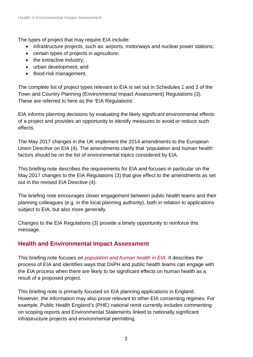The types of project that may require EIA include:

- infrastructure projects, such as: airports, motorways and nuclear power stations;
- certain types of projects in agriculture;
- the extractive industry;
- urban development; and
- flood-risk management.

The complete list of project types relevant to EIA is set out in Schedules 1 and 2 of the Town and Country Planning (Environmental Impact Assessment) Regulations (3). These are referred to here as the 'EIA Regulations'.

EIA informs planning decisions by evaluating the likely significant environmental effects of a project and provides an opportunity to identify measures to avoid or reduce such effects.

The May 2017 changes in the UK implement the 2014 amendments to the European Union Directive on EIA (4). The amendments clarify that 'population and human health' factors should be on the list of environmental topics considered by EIA.

This briefing note describes the requirements for EIA and focuses in particular on the May 2017 changes to the EIA Regulations (3) that give effect to the amendments as set out in the revised EIA Directive (4).

The briefing note encourages closer engagement between public health teams and their planning colleagues (e.g. in the local planning authority), both in relation to applications subject to EIA, but also more generally.

Changes to the EIA Regulations (3) provide a timely opportunity to reinforce this message.

## <span id="page-6-0"></span>**Health and Environmental Impact Assessment**

This briefing note focuses on *[population and human health in EIA](#page-8-0)*. It describes the process of EIA and identifies ways that DsPH and public health teams can engage with the EIA process when there are likely to be significant effects on human health as a result of a proposed project.

This briefing note is primarily focused on EIA planning applications in England. However, the information may also prove relevant to other EIA consenting regimes. For example, Public Health England's (PHE) national remit currently includes commenting on scoping reports and Environmental Statements linked to nationally significant infrastructure projects and environmental permitting.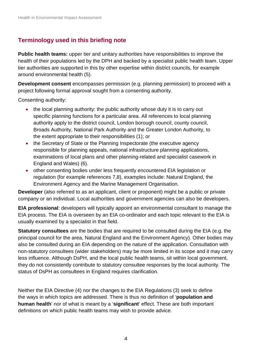## <span id="page-7-0"></span>**Terminology used in this briefing note**

**Public health teams:** upper tier and unitary authorities have responsibilities to improve the health of their populations led by the DPH and backed by a specialist public health team. Upper tier authorities are supported in this by other expertise within district councils, for example around environmental health (5).

**Development consent** encompasses permission (e.g. planning permission) to proceed with a project following formal approval sought from a consenting authority.

Consenting authority:

- the local planning authority: the public authority whose duty it is to carry out specific planning functions for a particular area. All references to local planning authority apply to the district council, London borough council, county council, Broads Authority, National Park Authority and the Greater London Authority, to the extent appropriate to their responsibilities (1); or
- the Secretary of State or the Planning Inspectorate (the executive agency responsible for planning appeals, national infrastructure planning applications, examinations of local plans and other planning-related and specialist casework in England and Wales) (6).
- other consenting bodies under less frequently encountered EIA legislation or regulation (for example references 7,8), examples include: Natural England, the Environment Agency and the Marine Management Organisation.

**Developer** (also referred to as an applicant, client or proponent) might be a public or private company or an individual. Local authorities and government agencies can also be developers.

**EIA professional**: developers will typically appoint an environmental consultant to manage the EIA process. The EIA is overseen by an EIA co-ordinator and each topic relevant to the EIA is usually examined by a specialist in that field.

**Statutory consultees** are the bodies that are required to be consulted during the EIA (e.g. the principal council for the area, Natural England and the Environment Agency). Other bodies may also be consulted during an EIA depending on the nature of the application. Consultation with non-statutory consultees (wider stakeholders) may be more limited in its scope and it may carry less influence. Although DsPH, and the local public health teams, sit within local government, they do not consistently contribute to statutory consultee responses by the local authority. The status of DsPH as consultees in England requires clarification.

Neither the EIA Directive (4) nor the changes to the EIA Regulations (3) seek to define the ways in which topics are addressed. There is thus no definition of '**population and human health**' nor of what is meant by a '**significant**' effect. These are both important definitions on which public health teams may wish to provide advice.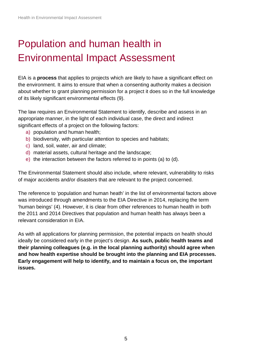# <span id="page-8-0"></span>Population and human health in Environmental Impact Assessment

EIA is a **process** that applies to projects which are likely to have a significant effect on the environment. It aims to ensure that when a consenting authority makes a decision about whether to grant planning permission for a project it does so in the full knowledge of its likely significant environmental effects (9).

The law requires an Environmental Statement to identify, describe and assess in an appropriate manner, in the light of each individual case, the direct and indirect significant effects of a project on the following factors:

- a) population and human health;
- b) biodiversity, with particular attention to species and habitats;
- c) land, soil, water, air and climate;
- d) material assets, cultural heritage and the landscape;
- e) the interaction between the factors referred to in points (a) to (d).

The Environmental Statement should also include, where relevant, vulnerability to risks of major accidents and/or disasters that are relevant to the project concerned.

The reference to 'population and human heath' in the list of environmental factors above was introduced through amendments to the EIA Directive in 2014, replacing the term 'human beings' (4). However, it is clear from other references to human health in both the 2011 and 2014 Directives that population and human health has always been a relevant consideration in EIA.

As with all applications for planning permission, the potential impacts on health should ideally be considered early in the project's design. **As such, public health teams and their planning colleagues (e.g. in the local planning authority) should agree when and how health expertise should be brought into the planning and EIA processes. Early engagement will help to identify, and to maintain a focus on, the important issues.**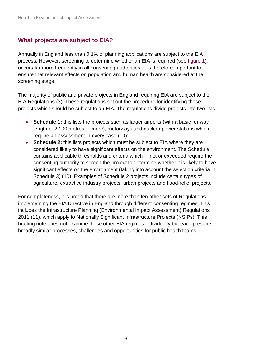### <span id="page-9-0"></span>**What projects are subject to EIA?**

Annually in England less than 0.1% of planning applications are subject to the EIA process. However, screening to determine whether an EIA is required (see [figure 1](#page-10-1)), occurs far more frequently in all consenting authorities. It is therefore important to ensure that relevant effects on population and human health are considered at the screening stage.

The majority of public and private projects in England requiring EIA are subject to the EIA Regulations (3). These regulations set out the procedure for identifying those projects which should be subject to an EIA. The regulations divide projects into two lists:

- **Schedule 1:** this lists the projects such as larger airports (with a basic runway length of 2,100 metres or more), motorways and nuclear power stations which require an assessment in every case (10);
- **Schedule 2:** this lists projects which must be subject to EIA where they are considered likely to have significant effects on the environment. The Schedule contains applicable thresholds and criteria which if met or exceeded require the consenting authority to screen the project to determine whether it is likely to have significant effects on the environment (taking into account the selection criteria in Schedule 3) (10). Examples of Schedule 2 projects include certain types of agriculture, extractive industry projects, urban projects and flood-relief projects.

For completeness, it is noted that there are more than ten other sets of Regulations implementing the EIA Directive in England through different consenting regimes. This includes the Infrastructure Planning (Environmental Impact Assessment) Regulations 2011 (11), which apply to Nationally Significant Infrastructure Projects (NSIPs). This briefing note does not examine these other EIA regimes individually but each presents broadly similar processes, challenges and opportunities for public health teams.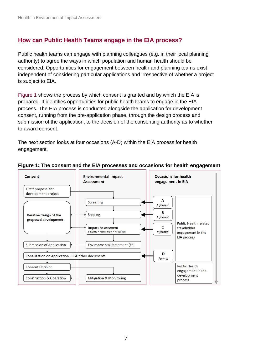### <span id="page-10-0"></span>**How can Public Health Teams engage in the EIA process?**

Public health teams can engage with planning colleagues (e.g. in their local planning authority) to agree the ways in which population and human health should be considered. Opportunities for engagement between health and planning teams exist independent of considering particular applications and irrespective of whether a project is subject to EIA.

[Figure 1](#page-10-1) shows the process by which consent is granted and by which the EIA is prepared. It identifies opportunities for public health teams to engage in the EIA process. The EIA process is conducted alongside the application for development consent, running from the pre-application phase, through the design process and submission of the application, to the decision of the consenting authority as to whether to award consent.

The next section looks at four occasions (A-D) within the EIA process for health engagement.



#### <span id="page-10-1"></span>**Figure 1: The consent and the EIA processes and occasions for health engagement**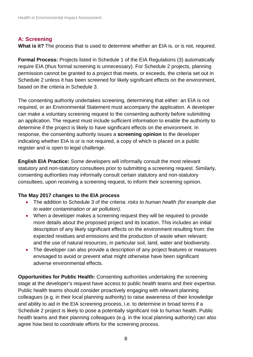### <span id="page-11-0"></span>**A: Screening**

**What is it?** The process that is used to determine whether an EIA is, or is not, required.

**Formal Process:** Projects listed in Schedule 1 of the EIA Regulations (3) automatically require EIA (thus formal screening is unnecessary). For Schedule 2 projects, planning permission cannot be granted to a project that meets, or exceeds, the criteria set out in Schedule 2 unless it has been screened for likely significant effects on the environment, based on the criteria in Schedule 3.

The consenting authority undertakes screening, determining that either: an EIA is not required, or an Environmental Statement must accompany the application. A developer can make a voluntary screening request to the consenting authority before submitting an application. The request must include sufficient information to enable the authority to determine if the project is likely to have significant effects on the environment. In response, the consenting authority issues a **screening opinion** to the developer indicating whether EIA is or is not required, a copy of which is placed on a public register and is open to legal challenge.

**English EIA Practice:** Some developers will informally consult the most relevant statutory and non-statutory consultees prior to submitting a screening request. Similarly, consenting authorities may informally consult certain statutory and non-statutory consultees, upon receiving a screening request, to inform their screening opinion.

#### **The May 2017 changes to the EIA process**

- The addition to Schedule 3 of the criteria: *risks to human health (for example due to water contamination or air pollution)*.
- When a developer makes a screening request they will be required to provide more details about the proposed project and its location. This includes an initial description of any likely significant effects on the environment resulting from: the expected residues and emissions and the production of waste when relevant; and the use of natural resources, in particular soil, land, water and biodiversity.
- The developer can also provide a description of any project features or measures envisaged to avoid or prevent what might otherwise have been significant adverse environmental effects.

**Opportunities for Public Health:** Consenting authorities undertaking the screening stage at the developer's request have access to public health teams and their expertise. Public health teams should consider proactively engaging with relevant planning colleagues (e.g. in their local planning authority) to raise awareness of their knowledge and ability to aid in the EIA screening process, i.e. to determine in broad terms if a Schedule 2 project is likely to pose a potentially significant risk to human health. Public health teams and their planning colleagues (e.g. in the local planning authority) can also agree how best to coordinate efforts for the screening process.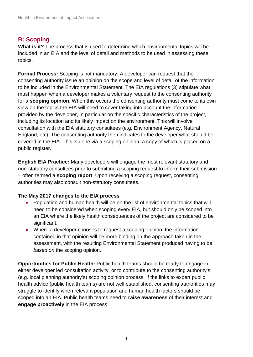### **B: Scoping**

**What is it?** The process that is used to determine which environmental topics will be included in an EIA and the level of detail and methods to be used in assessing these topics.

**Formal Process:** Scoping is not mandatory. A developer can request that the consenting authority issue an opinion on the scope and level of detail of the information to be included in the Environmental Statement. The EIA regulations (3) stipulate what must happen when a developer makes a voluntary request to the consenting authority for a **scoping opinion**. When this occurs the consenting authority must come to its own view on the topics the EIA will need to cover taking into account the information provided by the developer, in particular on the specific characteristics of the project, including its location and its likely impact on the environment. This will involve consultation with the EIA statutory consultees (e.g. Environment Agency, Natural England, etc). The consenting authority then indicates to the developer what should be covered in the EIA. This is done via a scoping opinion, a copy of which is placed on a public register.

**English EIA Practice:** Many developers will engage the most relevant statutory and non-statutory consultees prior to submitting a scoping request to inform their submission – often termed a **scoping report**. Upon receiving a scoping request, consenting authorities may also consult non-statutory consultees.

#### **The May 2017 changes to the EIA process**

- Population and human health will be on the list of environmental topics that will need to be considered when scoping every EIA, but should only be scoped into an EIA where the likely health consequences of the project are considered to be significant.
- Where a developer chooses to request a scoping opinion, the information contained in that opinion will be more binding on the approach taken in the assessment, with the resulting Environmental Statement produced having to be *based on* the scoping opinion.

**Opportunities for Public Health:** Public health teams should be ready to engage in either developer led consultation activity, or to contribute to the consenting authority's (e.g. local planning authority's) scoping opinion process. If the links to expert public health advice (public health teams) are not well established, consenting authorities may struggle to identify when relevant population and human health factors should be scoped into an EIA. Public health teams need to **raise awareness** of their interest and **engage proactively** in the EIA process.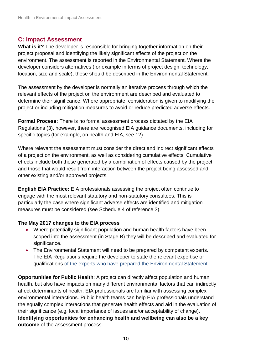### **C: Impact Assessment**

**What is it?** The developer is responsible for bringing together information on their project proposal and identifying the likely significant effects of the project on the environment. The assessment is reported in the Environmental Statement. Where the developer considers alternatives (for example in terms of project design, technology, location, size and scale), these should be described in the Environmental Statement.

The assessment by the developer is normally an iterative process through which the relevant effects of the project on the environment are described and evaluated to determine their significance. Where appropriate, consideration is given to modifying the project or including mitigation measures to avoid or reduce predicted adverse effects.

**Formal Process:** There is no formal assessment process dictated by the EIA Regulations (3), however, there are recognised EIA guidance documents, including for specific topics (for example, on health and EIA, see 12).

Where relevant the assessment must consider the direct and indirect significant effects of a project on the environment, as well as considering cumulative effects. Cumulative effects include both those generated by a combination of effects caused by the project and those that would result from interaction between the project being assessed and other existing and/or approved projects.

**English EIA Practice:** EIA professionals assessing the project often continue to engage with the most relevant statutory and non-statutory consultees. This is particularly the case where significant adverse effects are identified and mitigation measures must be considered (see Schedule 4 of reference 3).

### **The May 2017 changes to the EIA process**

- Where potentially significant population and human health factors have been scoped into the assessment (in Stage B) they will be described and evaluated for significance.
- The Environmental Statement will need to be prepared by competent experts. The EIA Regulations require the developer to state the relevant expertise or qualifications of the experts who have prepared the Environmental Statement.

**Opportunities for Public Health:** A project can directly affect population and human health, but also have impacts on many different environmental factors that can indirectly affect determinants of health. EIA professionals are familiar with assessing complex environmental interactions. Public health teams can help EIA professionals understand the equally complex interactions that generate health effects and aid in the evaluation of their significance (e.g. local importance of issues and/or acceptability of change). **Identifying opportunities for enhancing health and wellbeing can also be a key outcome** of the assessment process.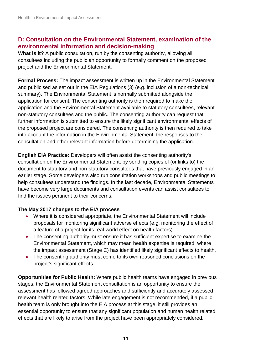### **D: Consultation on the Environmental Statement, examination of the environmental information and decision-making**

What is it? A public consultation, run by the consenting authority, allowing all consultees including the public an opportunity to formally comment on the proposed project and the Environmental Statement.

**Formal Process:** The impact assessment is written up in the Environmental Statement and publicised as set out in the EIA Regulations (3) (e.g. inclusion of a non-technical summary). The Environmental Statement is normally submitted alongside the application for consent. The consenting authority is then required to make the application and the Environmental Statement available to statutory consultees, relevant non-statutory consultees and the public. The consenting authority can request that further information is submitted to ensure the likely significant environmental effects of the proposed project are considered. The consenting authority is then required to take into account the information in the Environmental Statement, the responses to the consultation and other relevant information before determining the application.

**English EIA Practice:** Developers will often assist the consenting authority's consultation on the Environmental Statement, by sending copies of (or links to) the document to statutory and non-statutory consultees that have previously engaged in an earlier stage. Some developers also run consultation workshops and public meetings to help consultees understand the findings. In the last decade, Environmental Statements have become very large documents and consultation events can assist consultees to find the issues pertinent to their concerns.

#### **The May 2017 changes to the EIA process**

- Where it is considered appropriate, the Environmental Statement will include proposals for monitoring significant adverse effects (e.g. monitoring the effect of a feature of a project for its real-world effect on health factors).
- The consenting authority must ensure it has sufficient expertise to examine the Environmental Statement, which may mean health expertise is required, where the impact assessment (Stage C) has identified likely significant effects to health.
- The consenting authority must come to its own reasoned conclusions on the project's significant effects.

**Opportunities for Public Health:** Where public health teams have engaged in previous stages, the Environmental Statement consultation is an opportunity to ensure the assessment has followed agreed approaches and sufficiently and accurately assessed relevant health related factors. While late engagement is not recommended, if a public health team is only brought into the EIA process at this stage, it still provides an essential opportunity to ensure that any significant population and human health related effects that are likely to arise from the project have been appropriately considered.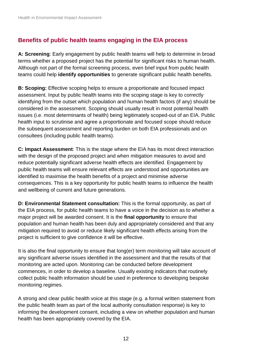### <span id="page-15-0"></span>**Benefits of public health teams engaging in the EIA process**

**A: Screening**: Early engagement by public health teams will help to determine in broad terms whether a proposed project has the potential for significant risks to human health. Although not part of the formal screening process, even brief input from public health teams could help **identify opportunities** to generate significant public health benefits.

**B: Scoping:** Effective scoping helps to ensure a proportionate and focused impact assessment. Input by public health teams into the scoping stage is key to correctly identifying from the outset which population and human health factors (if any) should be considered in the assessment. Scoping should usually result in most potential health issues (i.e. most determinants of health) being legitimately scoped-out of an EIA. Public health input to scrutinise and agree a proportionate and focused scope should reduce the subsequent assessment and reporting burden on both EIA professionals and on consultees (including public health teams).

**C: Impact Assessment**: This is the stage where the EIA has its most direct interaction with the design of the proposed project and when mitigation measures to avoid and reduce potentially significant adverse health effects are identified. Engagement by public health teams will ensure relevant effects are understood and opportunities are identified to maximise the health benefits of a project and minimise adverse consequences. This is a key opportunity for public health teams to influence the health and wellbeing of current and future generations.

**D: Environmental Statement consultation:** This is the formal opportunity, as part of the EIA process, for public health teams to have a voice in the decision as to whether a major project will be awarded consent. It is the **final opportunity** to ensure that population and human health has been duly and appropriately considered and that any mitigation required to avoid or reduce likely significant health effects arising from the project is sufficient to give confidence it will be effective.

It is also the final opportunity to ensure that long(er) term monitoring will take account of any significant adverse issues identified in the assessment and that the results of that monitoring are acted upon. Monitoring can be conducted before development commences, in order to develop a baseline. Usually existing indicators that routinely collect public health information should be used in preference to developing bespoke monitoring regimes.

A strong and clear public health voice at this stage (e.g. a formal written statement from the public health team as part of the local authority consultation response) is key to informing the development consent, including a view on whether population and human health has been appropriately covered by the EIA.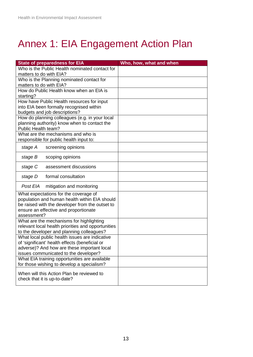# <span id="page-16-0"></span>Annex 1: EIA Engagement Action Plan

<span id="page-16-1"></span>

| <b>State of preparedness for EIA</b>                                                             | Who, how, what and when |
|--------------------------------------------------------------------------------------------------|-------------------------|
| Who is the Public Health nominated contact for                                                   |                         |
| matters to do with EIA?                                                                          |                         |
| Who is the Planning nominated contact for                                                        |                         |
| matters to do with EIA?<br>How do Public Health know when an EIA is                              |                         |
| starting?                                                                                        |                         |
| How have Public Health resources for input                                                       |                         |
| into EIA been formally recognised within                                                         |                         |
| budgets and job descriptions?                                                                    |                         |
| How do planning colleagues (e.g. in your local                                                   |                         |
| planning authority) know when to contact the                                                     |                         |
| Public Health team?                                                                              |                         |
| What are the mechanisms and who is<br>responsible for public health input to:                    |                         |
|                                                                                                  |                         |
| stage A<br>screening opinions                                                                    |                         |
| stage B<br>scoping opinions                                                                      |                         |
| assessment discussions<br>stage C                                                                |                         |
| formal consultation<br>stage D                                                                   |                         |
| Post EIA<br>mitigation and monitoring                                                            |                         |
| What expectations for the coverage of<br>population and human health within EIA should           |                         |
| be raised with the developer from the outset to                                                  |                         |
| ensure an effective and proportionate                                                            |                         |
| assessment?                                                                                      |                         |
| What are the mechanisms for highlighting                                                         |                         |
| relevant local health priorities and opportunities                                               |                         |
| to the developer and planning colleagues?                                                        |                         |
| What local public health issues are indicative<br>of 'significant' health effects (beneficial or |                         |
| adverse)? And how are these important local                                                      |                         |
| issues communicated to the developer?                                                            |                         |
| What EIA training opportunities are available                                                    |                         |
| for those wishing to develop a specialism?                                                       |                         |
| When will this Action Plan be reviewed to                                                        |                         |
| check that it is up-to-date?                                                                     |                         |
|                                                                                                  |                         |